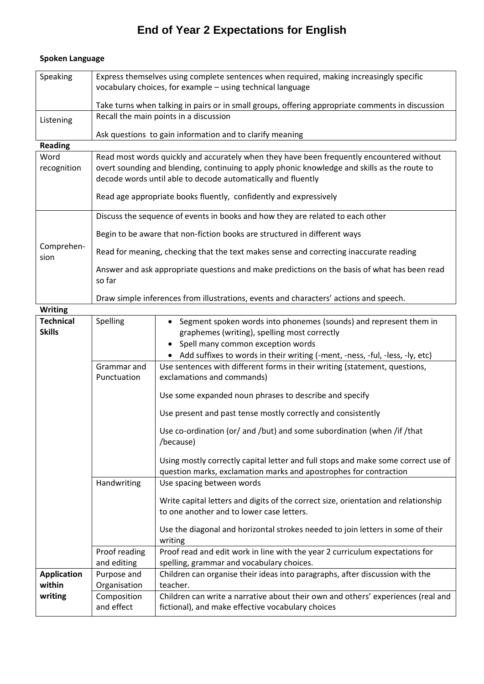## **End of Year 2 Expectations for English**

## **Spoken Language**

so far

| Speaking  | Express themselves using complete sentences when required, making increasingly specific<br>vocabulary choices, for example - using technical language |  |  |
|-----------|-------------------------------------------------------------------------------------------------------------------------------------------------------|--|--|
|           | Take turns when talking in pairs or in small groups, offering appropriate comments in discussion                                                      |  |  |
| Listening | Recall the main points in a discussion                                                                                                                |  |  |
|           | Ask questions to gain information and to clarify meaning                                                                                              |  |  |

**Reading**

Word recognition Read most words quickly and accurately when they have been frequently encountered without overt sounding and blending, continuing to apply phonic knowledge and skills as the route to decode words until able to decode automatically and fluently

Read age appropriate books fluently, confidently and expressively

|                    | Discuss the sequence of events in books and how they are related to each other               |
|--------------------|----------------------------------------------------------------------------------------------|
| Comprehen-<br>sion | Begin to be aware that non-fiction books are structured in different ways                    |
|                    | Read for meaning, checking that the text makes sense and correcting inaccurate reading       |
|                    | Answer and ask appropriate questions and make predictions on the basis of what has been read |

| Draw simple inferences from illustrations, events and characters' actions and speech. |
|---------------------------------------------------------------------------------------|
|                                                                                       |

| <b>Writing</b>                    |                              |                                                                                                                                                                                                                                        |  |  |  |  |
|-----------------------------------|------------------------------|----------------------------------------------------------------------------------------------------------------------------------------------------------------------------------------------------------------------------------------|--|--|--|--|
| <b>Technical</b><br><b>Skills</b> | Spelling                     | Segment spoken words into phonemes (sounds) and represent them in<br>graphemes (writing), spelling most correctly<br>Spell many common exception words<br>Add suffixes to words in their writing (-ment, -ness, -ful, -less, -ly, etc) |  |  |  |  |
|                                   | Grammar and                  | Use sentences with different forms in their writing (statement, questions,                                                                                                                                                             |  |  |  |  |
|                                   | Punctuation                  | exclamations and commands)                                                                                                                                                                                                             |  |  |  |  |
|                                   |                              | Use some expanded noun phrases to describe and specify                                                                                                                                                                                 |  |  |  |  |
|                                   |                              | Use present and past tense mostly correctly and consistently                                                                                                                                                                           |  |  |  |  |
|                                   |                              | Use co-ordination (or/ and /but) and some subordination (when /if /that<br>/because)                                                                                                                                                   |  |  |  |  |
|                                   |                              | Using mostly correctly capital letter and full stops and make some correct use of<br>question marks, exclamation marks and apostrophes for contraction                                                                                 |  |  |  |  |
|                                   | Handwriting                  | Use spacing between words                                                                                                                                                                                                              |  |  |  |  |
|                                   |                              | Write capital letters and digits of the correct size, orientation and relationship<br>to one another and to lower case letters.                                                                                                        |  |  |  |  |
|                                   |                              | Use the diagonal and horizontal strokes needed to join letters in some of their<br>writing                                                                                                                                             |  |  |  |  |
|                                   | Proof reading<br>and editing | Proof read and edit work in line with the year 2 curriculum expectations for<br>spelling, grammar and vocabulary choices.                                                                                                              |  |  |  |  |
| <b>Application</b>                | Purpose and                  | Children can organise their ideas into paragraphs, after discussion with the                                                                                                                                                           |  |  |  |  |
| within                            | Organisation                 | teacher.                                                                                                                                                                                                                               |  |  |  |  |
| writing                           | Composition<br>and effect    | Children can write a narrative about their own and others' experiences (real and<br>fictional), and make effective vocabulary choices                                                                                                  |  |  |  |  |